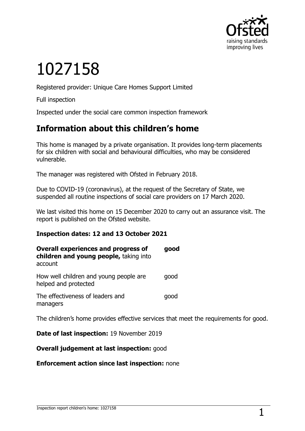

# 1027158

Registered provider: Unique Care Homes Support Limited

Full inspection

Inspected under the social care common inspection framework

## **Information about this children's home**

This home is managed by a private organisation. It provides long-term placements for six children with social and behavioural difficulties, who may be considered vulnerable.

The manager was registered with Ofsted in February 2018.

Due to COVID-19 (coronavirus), at the request of the Secretary of State, we suspended all routine inspections of social care providers on 17 March 2020.

We last visited this home on 15 December 2020 to carry out an assurance visit. The report is published on the Ofsted website.

#### **Inspection dates: 12 and 13 October 2021**

| <b>Overall experiences and progress of</b><br>children and young people, taking into<br>account | qood |
|-------------------------------------------------------------------------------------------------|------|
| How well children and young people are<br>helped and protected                                  | qood |
| The effectiveness of leaders and<br>managers                                                    | qood |

The children's home provides effective services that meet the requirements for good.

**Date of last inspection:** 19 November 2019

**Overall judgement at last inspection:** good

**Enforcement action since last inspection:** none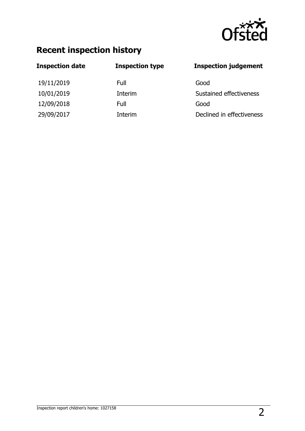

# **Recent inspection history**

| <b>Inspection date</b> | <b>Inspection type</b> | <b>Inspection judgement</b> |
|------------------------|------------------------|-----------------------------|
| 19/11/2019             | Full                   | Good                        |
| 10/01/2019             | Interim                | Sustained effectiveness     |
| 12/09/2018             | Full                   | Good                        |
| 29/09/2017             | Interim                | Declined in effectiveness   |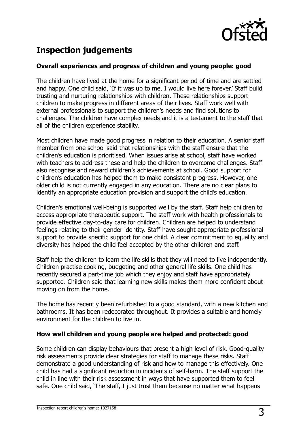

# **Inspection judgements**

#### **Overall experiences and progress of children and young people: good**

The children have lived at the home for a significant period of time and are settled and happy. One child said, 'If it was up to me, I would live here forever.' Staff build trusting and nurturing relationships with children. These relationships support children to make progress in different areas of their lives. Staff work well with external professionals to support the children's needs and find solutions to challenges. The children have complex needs and it is a testament to the staff that all of the children experience stability.

Most children have made good progress in relation to their education. A senior staff member from one school said that relationships with the staff ensure that the children's education is prioritised. When issues arise at school, staff have worked with teachers to address these and help the children to overcome challenges. Staff also recognise and reward children's achievements at school. Good support for children's education has helped them to make consistent progress. However, one older child is not currently engaged in any education. There are no clear plans to identify an appropriate education provision and support the child's education.

Children's emotional well-being is supported well by the staff. Staff help children to access appropriate therapeutic support. The staff work with health professionals to provide effective day-to-day care for children. Children are helped to understand feelings relating to their gender identity. Staff have sought appropriate professional support to provide specific support for one child. A clear commitment to equality and diversity has helped the child feel accepted by the other children and staff.

Staff help the children to learn the life skills that they will need to live independently. Children practise cooking, budgeting and other general life skills. One child has recently secured a part-time job which they enjoy and staff have appropriately supported. Children said that learning new skills makes them more confident about moving on from the home.

The home has recently been refurbished to a good standard, with a new kitchen and bathrooms. It has been redecorated throughout. It provides a suitable and homely environment for the children to live in.

#### **How well children and young people are helped and protected: good**

Some children can display behaviours that present a high level of risk. Good-quality risk assessments provide clear strategies for staff to manage these risks. Staff demonstrate a good understanding of risk and how to manage this effectively. One child has had a significant reduction in incidents of self-harm. The staff support the child in line with their risk assessment in ways that have supported them to feel safe. One child said, 'The staff, I just trust them because no matter what happens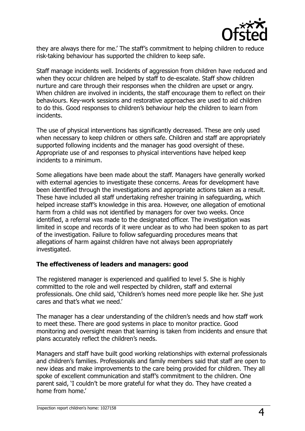

they are always there for me.' The staff's commitment to helping children to reduce risk-taking behaviour has supported the children to keep safe.

Staff manage incidents well. Incidents of aggression from children have reduced and when they occur children are helped by staff to de-escalate. Staff show children nurture and care through their responses when the children are upset or angry. When children are involved in incidents, the staff encourage them to reflect on their behaviours. Key-work sessions and restorative approaches are used to aid children to do this. Good responses to children's behaviour help the children to learn from incidents.

The use of physical interventions has significantly decreased. These are only used when necessary to keep children or others safe. Children and staff are appropriately supported following incidents and the manager has good oversight of these. Appropriate use of and responses to physical interventions have helped keep incidents to a minimum.

Some allegations have been made about the staff. Managers have generally worked with external agencies to investigate these concerns. Areas for development have been identified through the investigations and appropriate actions taken as a result. These have included all staff undertaking refresher training in safeguarding, which helped increase staff's knowledge in this area. However, one allegation of emotional harm from a child was not identified by managers for over two weeks. Once identified, a referral was made to the designated officer. The investigation was limited in scope and records of it were unclear as to who had been spoken to as part of the investigation. Failure to follow safeguarding procedures means that allegations of harm against children have not always been appropriately investigated.

#### **The effectiveness of leaders and managers: good**

The registered manager is experienced and qualified to level 5. She is highly committed to the role and well respected by children, staff and external professionals. One child said, 'Children's homes need more people like her. She just cares and that's what we need.'

The manager has a clear understanding of the children's needs and how staff work to meet these. There are good systems in place to monitor practice. Good monitoring and oversight mean that learning is taken from incidents and ensure that plans accurately reflect the children's needs.

Managers and staff have built good working relationships with external professionals and children's families. Professionals and family members said that staff are open to new ideas and make improvements to the care being provided for children. They all spoke of excellent communication and staff's commitment to the children. One parent said, 'I couldn't be more grateful for what they do. They have created a home from home.'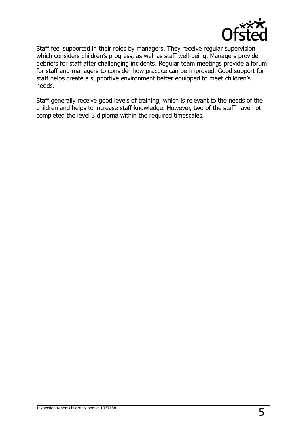

Staff feel supported in their roles by managers. They receive regular supervision which considers children's progress, as well as staff well-being. Managers provide debriefs for staff after challenging incidents. Regular team meetings provide a forum for staff and managers to consider how practice can be improved. Good support for staff helps create a supportive environment better equipped to meet children's needs.

Staff generally receive good levels of training, which is relevant to the needs of the children and helps to increase staff knowledge. However, two of the staff have not completed the level 3 diploma within the required timescales.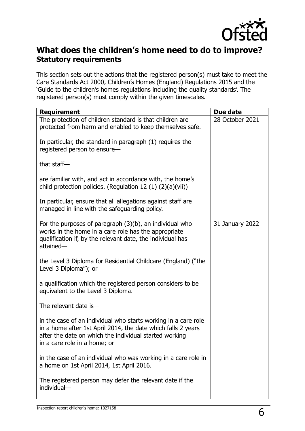

## **What does the children's home need to do to improve? Statutory requirements**

This section sets out the actions that the registered person(s) must take to meet the Care Standards Act 2000, Children's Homes (England) Regulations 2015 and the 'Guide to the children's homes regulations including the quality standards'. The registered person(s) must comply within the given timescales.

| <b>Requirement</b>                                                                                                                                                                                                       | Due date        |
|--------------------------------------------------------------------------------------------------------------------------------------------------------------------------------------------------------------------------|-----------------|
| The protection of children standard is that children are<br>protected from harm and enabled to keep themselves safe.                                                                                                     | 28 October 2021 |
| In particular, the standard in paragraph (1) requires the<br>registered person to ensure-                                                                                                                                |                 |
| that staff $-$                                                                                                                                                                                                           |                 |
| are familiar with, and act in accordance with, the home's<br>child protection policies. (Regulation 12 $(1)$ $(2)(a)(vi)$ )                                                                                              |                 |
| In particular, ensure that all allegations against staff are<br>managed in line with the safeguarding policy.                                                                                                            |                 |
| For the purposes of paragraph $(3)(b)$ , an individual who<br>works in the home in a care role has the appropriate<br>qualification if, by the relevant date, the individual has<br>attained-                            | 31 January 2022 |
| the Level 3 Diploma for Residential Childcare (England) ("the<br>Level 3 Diploma"); or                                                                                                                                   |                 |
| a qualification which the registered person considers to be<br>equivalent to the Level 3 Diploma.                                                                                                                        |                 |
| The relevant date is-                                                                                                                                                                                                    |                 |
| in the case of an individual who starts working in a care role<br>in a home after 1st April 2014, the date which falls 2 years<br>after the date on which the individual started working<br>in a care role in a home; or |                 |
| in the case of an individual who was working in a care role in<br>a home on 1st April 2014, 1st April 2016.                                                                                                              |                 |
| The registered person may defer the relevant date if the<br>individual-                                                                                                                                                  |                 |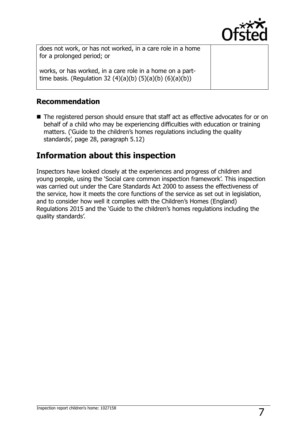

does not work, or has not worked, in a care role in a home for a prolonged period; or

works, or has worked, in a care role in a home on a parttime basis. (Regulation 32  $(4)(a)(b)$   $(5)(a)(b)$   $(6)(a)(b))$ 

### **Recommendation**

■ The registered person should ensure that staff act as effective advocates for or on behalf of a child who may be experiencing difficulties with education or training matters. ('Guide to the children's homes regulations including the quality standards', page 28, paragraph 5.12)

## **Information about this inspection**

Inspectors have looked closely at the experiences and progress of children and young people, using the 'Social care common inspection framework'. This inspection was carried out under the Care Standards Act 2000 to assess the effectiveness of the service, how it meets the core functions of the service as set out in legislation, and to consider how well it complies with the Children's Homes (England) Regulations 2015 and the 'Guide to the children's homes regulations including the quality standards'.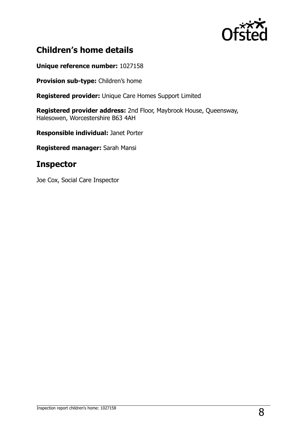

# **Children's home details**

**Unique reference number:** 1027158

**Provision sub-type:** Children's home

**Registered provider:** Unique Care Homes Support Limited

**Registered provider address:** 2nd Floor, Maybrook House, Queensway, Halesowen, Worcestershire B63 4AH

**Responsible individual:** Janet Porter

**Registered manager:** Sarah Mansi

## **Inspector**

Joe Cox, Social Care Inspector